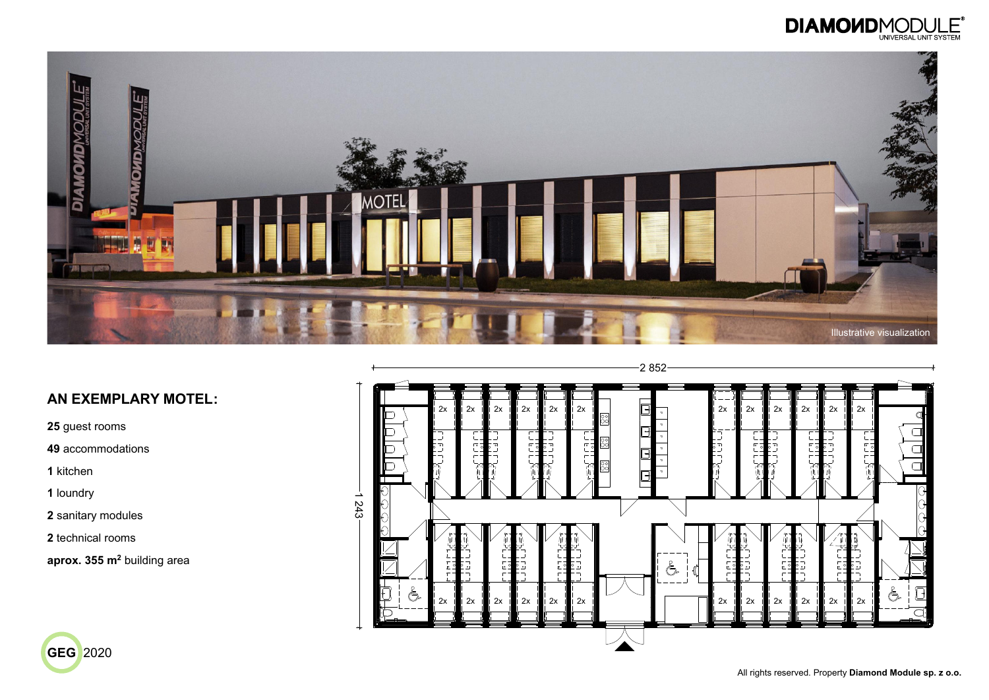All rights reserved. Property **Diamond Module sp. z o.o.**









**25** guest rooms

**49** accommodations

**1** kitchen

**1** loundry

**2** sanitary modules

**2** technical rooms

**aprox. 355 m<sup>2</sup>** building area

### **AN EXEMPLARY MOTEL:**